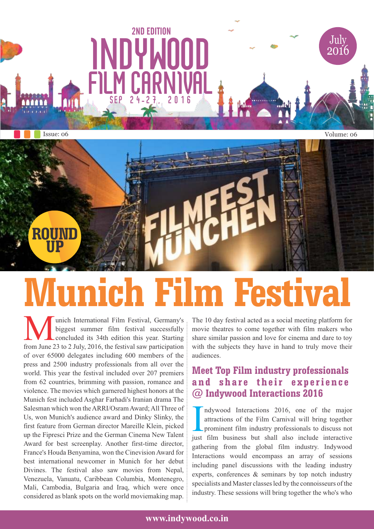

2ND EDITION

# **Munich Film Festival**

**M** unich International Film Festival, Germany's biggest summer film festival successfully concluded its 34th edition this year. Starting from June 23 to 2 July, 2016, the festival saw participation unich International Film Festival, Germany's biggest summer film festival successfully concluded its 34th edition this year. Starting of over 65000 delegates including 600 members of the press and 2500 industry professionals from all over the world. This year the festival included over 207 premiers from 62 countries, brimming with passion, romance and violence. The movies which garnered highest honors at the Munich fest included Asghar Farhadi's Iranian drama The Salesman which won the ARRI/Osram Award; All Three of Us, won Munich's audience award and Dinky Slinky, the first feature from German director Mareille Klein, picked up the Fipresci Prize and the German Cinema New Talent Award for best screenplay. Another first-time director, France's Houda Benyamina, won the Cinevision Award for best international newcomer in Munich for her debut Divines. The festival also saw movies from Nepal, Venezuela, Vanuatu, Caribbean Columbia, Montenegro, Mali, Cambodia, Bulgaria and Iraq, which were once considered as blank spots on the world moviemaking map.

The 10 day festival acted as a social meeting platform for movie theatres to come together with film makers who share similar passion and love for cinema and dare to toy with the subjects they have in hand to truly move their audiences.

#### **Meet Top Film industry professionals an d s h a re t h eir e x p erie n c e @ Indywood Interactions 2016**

Indywood Interactions 2016, one of the major<br>attractions of the Film Carnival will bring together<br>prominent film industry professionals to discuss not<br>just film business but shall also include interactive ndywood Interactions 2016, one of the major attractions of the Film Carnival will bring together prominent film industry professionals to discuss not gathering from the global film industry. Indywood Interactions would encompass an array of sessions including panel discussions with the leading industry experts, conferences & seminars by top notch industry specialists and Master classes led by the connoisseurs of the industry. These sessions will bring together the who's who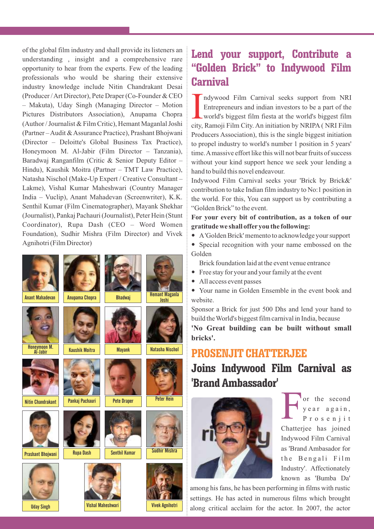of the global film industry and shall provide its listeners an understanding , insight and a comprehensive rare opportunity to hear from the experts. Few of the leading professionals who would be sharing their extensive industry knowledge include Nitin Chandrakant Desai (Producer / Art Director), Pete Draper (Co-Founder & CEO – Makuta), Uday Singh (Managing Director – Motion Pictures Distributors Association), Anupama Chopra (Author / Journalist & Film Critic), Hemant Maganlal Joshi (Partner – Audit & Assurance Practice), Prashant Bhojwani (Director – Deloitte's Global Business Tax Practice), Honeymoon M. Al-Jabir (Film Director – Tanzania), Baradwaj Ranganfilm (Critic & Senior Deputy Editor – Hindu), Kaushik Moitra (Partner – TMT Law Practice), Natasha Nischol (Make-Up Expert / Creative Consultant – Lakme), Vishal Kumar Maheshwari (Country Manager India – Vuclip), Anant Mahadevan (Screenwriter), K.K. Senthil Kumar (Film Cinematographer), Mayank Shekhar (Journalist), Pankaj Pachauri (Journalist), Peter Hein (Stunt Coordinator), Rupa Dash (CEO – Word Women Foundation), Sudhir Mishra (Film Director) and Vivek Agnihotri (Film Director)



## **Lend your support, Contribute a "Golden Brick" to Indywood Film Carnival**

Indywood Film Carnival seeks support from NRI<br>Entrepreneurs and indian investors to be a part of the<br>world's biggest film fiesta at the world's biggest film<br>city, Ramoji Film City. An initiation by NRIPA (NRI Film ndywood Film Carnival seeks support from NRI Entrepreneurs and indian investors to be a part of the world's biggest film fiesta at the world's biggest film Producers Association), this is the single biggest initiation to propel industry to world's number 1 position in 5 years' time. Amassive effort like this will not bear fruits of success without your kind support hence we seek your lending a hand to build this novel endeavour.

Indywood Film Carnival seeks your 'Brick by Brick&' contribution to take Indian film industry to No:1 position in the world. For this, You can support us by contributing a "Golden Brick" to the event.

**For your every bit of contribution, as a token of our gratitude we shall offer you the following:**

- A'Golden Brick' memento to acknowledge your support
- Special recognition with your name embossed on the Golden
- Brick foundation laid at the event venue entrance
- Free stay for your and your family at the event
- All access event passes
- Your name in Golden Ensemble in the event book and website.

Sponsor a Brick for just 500 Dhs and lend your hand to build the World's biggest film carnival in India, because

**'No Great building can be built without small bricks'.**

### **PROSENJIT CHATTERJEE**

**Joins Indywood Film Carnival as 'Brand Ambassador'**



F or the second y e a r a g a i n, P r o s e n j i t Chatterjee has joined Indywood Film Carnival as 'Brand Ambasador for the Bengali Film Industry'. Affectionately known as 'Bumba Da'

among his fans, he has been performing in films with rustic settings. He has acted in numerous films which brought along critical acclaim for the actor. In 2007, the actor